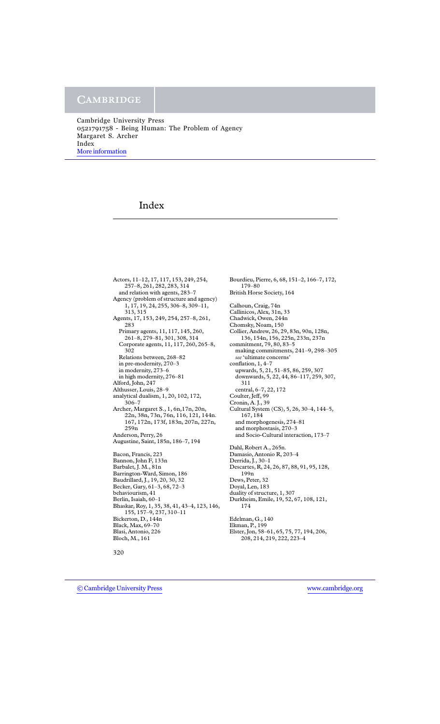Cambridge University Press 0521791758 - Being Human: The Problem of Agency Margaret S. Archer Index [More information](http://www.cambridge.org/0521791758)

# Index

Actors, 11–12, 17, 117, 153, 249, 254, 257–8, 261, 282, 283, 314 and relation with agents, 283–7 Agency (problem of structure and agency) 1, 17, 19, 24, 255, 306–8, 309–11, 313, 315 Agents, 17, 153, 249, 254, 257–8, 261, 283 Primary agents, 11, 117, 145, 260, 261–8, 279–81, 301, 308, 314 Corporate agents, 11, 117, 260, 265–8, 302 Relations between, 268–82 in pre-modernity, 270–3 in modernity, 273–6 in high modernity, 276–81 Alford, John, 247 Althusser, Louis, 28–9 analytical dualism, 1, 20, 102, 172, 306–7 Archer, Margaret S., 1, 6n,17n, 20n, 22n, 38n, 73n, 76n, 116, 121, 144n. 167, 172n, 173f, 183n, 207n, 227n, 259n Anderson, Perry, 26 Augustine, Saint, 185n, 186–7, 194 Bacon, Francis, 223 Bannon, John F, 133n Barbalet, J. M., 81n Barrington-Ward, Simon, 186 Baudrillard, J., 19, 20, 30, 32 Becker, Gary, 61–3, 68, 72–3 behaviourism, 41 Berlin, Isaiah, 60–1 Bhaskar, Roy, 1, 35, 38, 41, 43–4, 123, 146, 155, 157–9, 237, 310–11 Bickerton, D., 144n Black, Max, 69–70 Blasi, Antonio, 226 Bloch, M., 161

Bourdieu, Pierre, 6, 68, 151–2, 166–7, 172, 179–80 British Horse Society, 164 Calhoun, Craig, 74n Callinicos, Alex, 31n, 33 Chadwick, Owen, 244n Chomsky, Noam, 150 Collier, Andrew, 26, 29, 83n, 90n, 128n, 136, 154n, 156, 225n, 233n, 237n commitment, 79, 80, 83–5 making commitments, 241–9, 298–305 *see* 'ultimate concerns' conflation, 1, 4–7 upwards, 5, 21, 51–85, 86, 259, 307 downwards, 5, 22, 44, 86–117, 259, 307, 311 central, 6–7, 22, 172 Coulter, Jeff, 99 Cronin, A. J., 39 Cultural System (CS), 5, 26, 30–4, 144–5, 167, 184 and morphogenesis, 274–81 and morphostasis, 270–3 and Socio-Cultural interaction, 173–7 Dahl, Robert A., 265n. Damasio, Antonio R, 203–4 Derrida, J., 30–1 Descartes, R, 24, 26, 87, 88, 91, 95, 128, 199n Dews, Peter, 32 Doyal, Len, 183 duality of structure, 1, 307 Durkheim, Emile, 19, 52, 67, 108, 121, 174 Edelman, G., 140 Ekman, P., 199 Elster, Jon, 58–61, 65, 75, 77, 194, 206, 208, 214, 219, 222, 223–4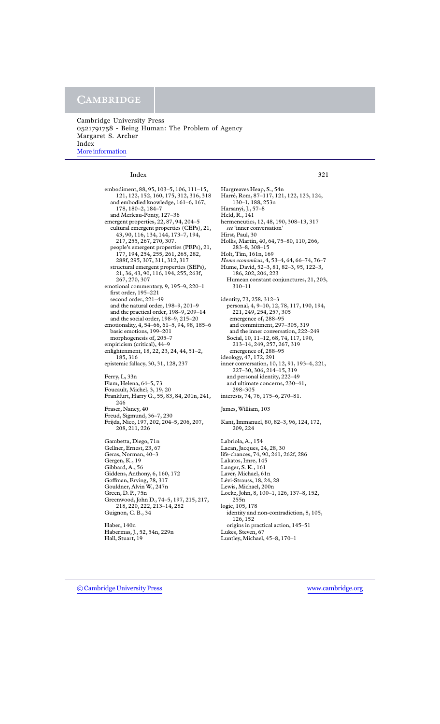### **CAMBRIDGE**

Cambridge University Press 0521791758 - Being Human: The Problem of Agency Margaret S. Archer Index [More information](http://www.cambridge.org/0521791758)

#### Index 321

embodiment, 88, 95, 103–5, 106, 111–15, 121, 122, 152, 160, 175, 312, 316, 318 and embodied knowledge, 161–6, 167, 178, 180–2, 184–7 and Merleau-Ponty, 127–36 emergent properties, 22, 87, 94, 204–5 cultural emergent properties (CEPs), 21, 43, 90, 116, 134, 144, 173–7, 194, 217, 255, 267, 270, 307. people's emergent properties (PEPs), 21, 177, 194, 254, 255, 261, 265, 282, 288f, 295, 307, 311, 312, 317 structural emergent properties (SEPs), 21, 36, 43, 90, 116, 194, 255, 263f, 267, 270, 307 emotional commentary, 9, 195–9, 220–1 first order, 195–221 second order, 221–49 and the natural order, 198–9, 201–9 and the practical order, 198–9, 209–14 and the social order, 198–9, 215–20 emotionality, 4, 54–66, 61–5, 94, 98, 185–6 basic emotions, 199–201 morphogenesis of, 205–7 empiricism (critical), 44–9 enlightenment, 18, 22, 23, 24, 44, 51–2, 185, 316 epistemic fallacy, 30, 31, 128, 237 Ferry, L, 33n Flam, Helena, 64–5, 73 Foucault, Michel, 3, 19, 20 Frankfurt, Harry G., 55, 83, 84, 201n, 241, 246 Fraser, Nancy, 40 Freud, Sigmund, 36–7, 230 Frijda, Nico, 197, 202, 204–5, 206, 207, 208, 211, 226 Gambetta, Diego, 71n Gellner, Ernest, 23, 67 Geras, Norman, 40–3 Gergen, K., 19 Gibbard, A., 56 Giddens, Anthony, 6, 160, 172 Goffman, Erving, 78, 317 Gouldner, Alvin W., 247n Green, D. P., 75n Greenwood, John D., 74–5, 197, 215, 217, 218, 220, 222, 213–14, 282 Guignon, C. B., 34 Haber, 140n Habermas, J., 52, 54n, 229n Hall, Stuart, 19

hermeneutics, 12, 48, 190, 308–13, 317 *see* 'inner conversation' Hirst, Paul, 30 Hollis, Martin, 40, 64, 75–80, 110, 266, 283–8, 308–15 Holt, Tim, 161n, 169 *Homo economicus*, 4, 53–4, 64, 66–74, 76–7 Hume, David, 52–3, 81, 82–3, 95, 122–3, 186, 202, 206, 223 Humean constant conjunctures, 21, 203, 310–11 identity, 73, 258, 312–3 personal, 4, 9–10, 12, 78, 117, 190, 194, 221, 249, 254, 257, 305 emergence of, 288–95 and commitment, 297–305, 319 and the inner conversation, 222–249 Social, 10, 11–12, 68, 74, 117, 190, 213–14, 249, 257, 267, 319 emergence of, 288–95 ideology, 47, 172, 291 inner conversation, 10, 12, 91, 193–4, 221, 227–30, 306, 214–15, 319 and personal identity, 222–49 and ultimate concerns, 230–41, 298–305 interests, 74, 76, 175–6, 270–81. James, William, 103 Kant, Immanuel, 80, 82–3, 96, 124, 172, 209, 224 Labriola, A., 154 Lacan, Jacques, 24, 28, 30 life-chances, 74, 90, 261, 262f, 286 Lakatos, Imre, 145 Langer, S. K., 161 Laver, Michael, 61n Lévi-Strauss, 18, 24, 28 Lewis, Michael, 200n Locke, John, 8, 100–1, 126, 137–8, 152, 255n logic, 105, 178 identity and non-contradiction, 8, 105, 126, 152 origins in practical action, 145–51 Lukes, Steven, 67 Luntley, Michael, 45–8, 170–1

Hargreaves Heap, S., 54n

130–1, 188, 253n Harsanyi, J., 57–8 Held, R., 141

Harré, Rom, 87–117, 121, 122, 123, 124,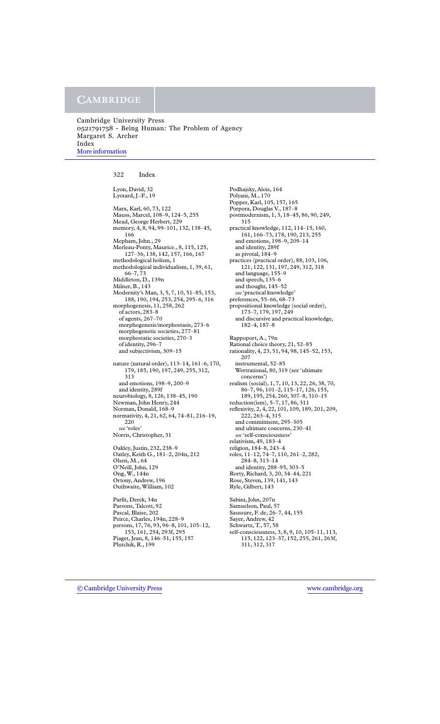Cambridge University Press 0521791758 - Being Human: The Problem of Agency Margaret S. Archer Index [More information](http://www.cambridge.org/0521791758)

322 Index

Lyon, David, 32 Lyotard, J.-F., 19

Marx, Karl, 60, 73, 122 Mauss, Marcel, 108–9, 124–5, 255 Mead, George Herbert, 229 memory, 4, 8, 94, 99–101, 132, 138–45, 166 Mepham, John., 29 Merleau-Ponty, Maurice., 8, 115, 125, 127–36, 138, 142, 157, 166, 167 methodological holism, 1 methodological individualism, 1, 39, 61, 66–7, 73 Middleton, D., 139n Milner, B., 143 Modernity's Man, 3, 5, 7, 10, 51–85, 153, 188, 190, 194, 253, 254, 295–6, 316 morphogenesis, 11, 258, 262 of actors, 283–8 of agents, 267–70 morphogenesis/morphostasis, 273–6 morphogenetic societies, 277–81 morphostatic societies, 270–3 of identity, 296–7 and subjectivism, 309–15 nature (natural order), 113–14, 161–6, 170, 179, 185, 190, 197, 249, 255, 312, 313 and emotions, 198–9, 200–9 and identity, 289f neurobiology, 8, 126, 138–45, 190 Newman, John Henry, 244 Norman, Donald, 168–9 normativity, 4, 21, 62, 64, 74–81, 216–19, 220 *see* 'roles' Norris, Christopher, 31 Oakley, Justin, 232, 238–9

Oatley, Keith G., 181–2, 204n, 212 Olsen, M., 64 O'Neill, John, 129 Ong, W., 144n Ortony, Andrew, 196 Outhwaite, William, 102

Parfit, Derek, 34n Parsons, Talcott, 92 Pascal, Blaise, 202 Peirce, Charles, 194n, 228–9 persons, 17, 76, 93, 96–8, 101, 105–12, 153, 161, 254, 293f, 295 Piaget, Jean, 8, 146–51, 155, 157 Plutchik, R., 199

Podhajsky, Alois, 164 Polyani, M., 170 Popper, Karl, 105, 157, 165 Porpora, Douglas V., 187–8 postmodernism, 1, 3, 18–45, 86, 90, 249, 315 practical knowledge, 112, 114–15, 160, 161, 166–73, 178, 190, 213, 255 and emotions, 198–9, 209–14 and identity, 289f as pivotal, 184–9 practices (practical order), 88, 103, 106, 121, 122, 131, 197, 249, 312, 318 and language, 155–9 and speech, 135–6 and thought, 145–52 *see* 'practical knowledge' preferences, 55–66, 68–73 propositional knowledge (social order), 173–7, 179, 197, 249 and discursive and practical knowledge, 182–4, 187–8 Rappoport, A., 79n Rational choice theory, 21, 52–85 rationality, 4, 23, 51, 94, 98, 145–52, 153, 207 instrumental, 52–85 Wertrational, 80, 319 (see 'ultimate concerns') realism (social), 1, 7, 10, 13, 22, 26, 38, 70, 86–7, 96, 101–2, 115–17, 126, 155, 189, 195, 254, 260, 307–8, 310–15 reduction(ism), 5–7, 17, 86, 311 reflexivity, 2, 4, 22, 101, 109, 189, 201, 209, 222, 263–4, 315 and commitment, 295–305 and ultimate concerns, 230–41 *see* 'self-consciousness' relativism, 49, 183–4 religion, 184–8, 243–4 roles, 11–12, 74–7, 110, 261–2, 282, 284–8, 313–14 and identity, 288–95, 303–5 Rorty, Richard, 3, 20, 34–44, 221 Rose, Steven, 139, 141, 143 Ryle, Gilbert, 143 Sabini, John, 207n Samuelson, Paul, 57 Saussure, F. de, 26–7, 44, 155 Sayer, Andrew, 42 Schwartz, T., 57, 58 self-consciousness, 3, 8, 9, 10, 105–11, 113, 115, 122, 123–37, 152, 255, 261, 263f, 311, 312, 317